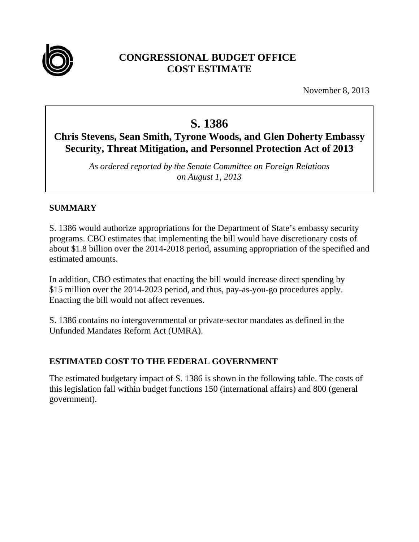

## **CONGRESSIONAL BUDGET OFFICE COST ESTIMATE**

November 8, 2013

# **S. 1386**

## **Chris Stevens, Sean Smith, Tyrone Woods, and Glen Doherty Embassy Security, Threat Mitigation, and Personnel Protection Act of 2013**

*As ordered reported by the Senate Committee on Foreign Relations on August 1, 2013* 

## **SUMMARY**

S. 1386 would authorize appropriations for the Department of State's embassy security programs. CBO estimates that implementing the bill would have discretionary costs of about \$1.8 billion over the 2014-2018 period, assuming appropriation of the specified and estimated amounts.

In addition, CBO estimates that enacting the bill would increase direct spending by \$15 million over the 2014-2023 period, and thus, pay-as-you-go procedures apply. Enacting the bill would not affect revenues.

S. 1386 contains no intergovernmental or private-sector mandates as defined in the Unfunded Mandates Reform Act (UMRA).

## **ESTIMATED COST TO THE FEDERAL GOVERNMENT**

The estimated budgetary impact of S. 1386 is shown in the following table. The costs of this legislation fall within budget functions 150 (international affairs) and 800 (general government).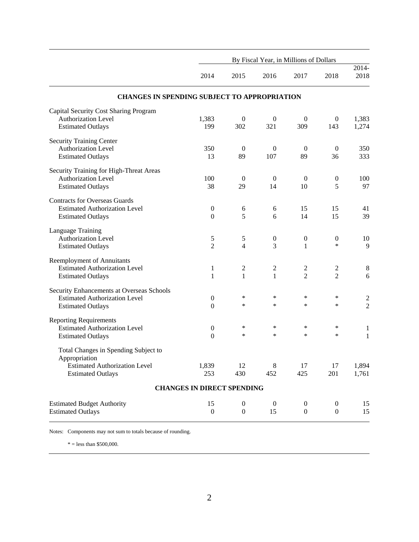|                                                       | By Fiscal Year, in Millions of Dollars |                  |                  |                  |                  |                |  |  |
|-------------------------------------------------------|----------------------------------------|------------------|------------------|------------------|------------------|----------------|--|--|
|                                                       | 2014                                   | 2015             | 2016             | 2017             | 2018             | 2014-<br>2018  |  |  |
| <b>CHANGES IN SPENDING SUBJECT TO APPROPRIATION</b>   |                                        |                  |                  |                  |                  |                |  |  |
| Capital Security Cost Sharing Program                 |                                        |                  |                  |                  |                  |                |  |  |
| <b>Authorization Level</b>                            | 1,383                                  | $\boldsymbol{0}$ | $\boldsymbol{0}$ | $\overline{0}$   | $\mathbf{0}$     | 1,383          |  |  |
| <b>Estimated Outlays</b>                              | 199                                    | 302              | 321              | 309              | 143              | 1,274          |  |  |
| <b>Security Training Center</b>                       |                                        |                  |                  |                  |                  |                |  |  |
| <b>Authorization Level</b>                            | 350                                    | $\mathbf{0}$     | $\boldsymbol{0}$ | $\overline{0}$   | $\mathbf{0}$     | 350            |  |  |
| <b>Estimated Outlays</b>                              | 13                                     | 89               | 107              | 89               | 36               | 333            |  |  |
| Security Training for High-Threat Areas               |                                        |                  |                  |                  |                  |                |  |  |
| <b>Authorization Level</b>                            | 100                                    | $\boldsymbol{0}$ | $\boldsymbol{0}$ | $\overline{0}$   | $\boldsymbol{0}$ | 100            |  |  |
| <b>Estimated Outlays</b>                              | 38                                     | 29               | 14               | 10               | 5                | 97             |  |  |
| <b>Contracts for Overseas Guards</b>                  |                                        |                  |                  |                  |                  |                |  |  |
| <b>Estimated Authorization Level</b>                  | $\boldsymbol{0}$                       | 6                | 6                | 15               | 15               | 41             |  |  |
| <b>Estimated Outlays</b>                              | $\boldsymbol{0}$                       | 5                | 6                | 14               | 15               | 39             |  |  |
| Language Training                                     |                                        |                  |                  |                  |                  |                |  |  |
| <b>Authorization Level</b>                            | 5                                      | 5                | $\boldsymbol{0}$ | $\boldsymbol{0}$ | $\boldsymbol{0}$ | 10             |  |  |
| <b>Estimated Outlays</b>                              | $\overline{2}$                         | 4                | 3                | 1                | $\ast$           | 9              |  |  |
| <b>Reemployment of Annuitants</b>                     |                                        |                  |                  |                  |                  |                |  |  |
| <b>Estimated Authorization Level</b>                  | $\mathbf{1}$                           | 2                | $\overline{c}$   | $\overline{c}$   | $\overline{c}$   | $\,8\,$        |  |  |
| <b>Estimated Outlays</b>                              | 1                                      | 1                | 1                | $\overline{2}$   | $\overline{2}$   | 6              |  |  |
| Security Enhancements at Overseas Schools             |                                        |                  |                  |                  |                  |                |  |  |
| <b>Estimated Authorization Level</b>                  | $\boldsymbol{0}$                       | $\ast$           | $\ast$           | $\ast$           | *                | $\overline{c}$ |  |  |
| <b>Estimated Outlays</b>                              | $\overline{0}$                         | *                | $\ast$           | $\ast$           | *                | $\overline{c}$ |  |  |
| <b>Reporting Requirements</b>                         |                                        |                  |                  |                  |                  |                |  |  |
| <b>Estimated Authorization Level</b>                  | $\boldsymbol{0}$                       | $\ast$           | ∗                | ∗                | $\ast$           | $\mathbf{1}$   |  |  |
| <b>Estimated Outlays</b>                              | $\overline{0}$                         | $\ast$           | $\ast$           | $\ast$           | $\ast$           | $\mathbf{1}$   |  |  |
| Total Changes in Spending Subject to<br>Appropriation |                                        |                  |                  |                  |                  |                |  |  |
| <b>Estimated Authorization Level</b>                  | 1,839                                  | 12               | 8                | 17               | 17               | 1,894          |  |  |
| <b>Estimated Outlays</b>                              | 253                                    | 430              | 452              | 425              | 201              | 1,761          |  |  |
|                                                       | <b>CHANGES IN DIRECT SPENDING</b>      |                  |                  |                  |                  |                |  |  |
| <b>Estimated Budget Authority</b>                     | 15                                     | $\boldsymbol{0}$ | $\boldsymbol{0}$ | $\boldsymbol{0}$ | $\boldsymbol{0}$ | 15             |  |  |
| <b>Estimated Outlays</b>                              | $\boldsymbol{0}$                       | $\boldsymbol{0}$ | 15               | $\boldsymbol{0}$ | $\boldsymbol{0}$ | 15             |  |  |

Notes: Components may not sum to totals because of rounding.

 $\text{*} =$  less than \$500,000.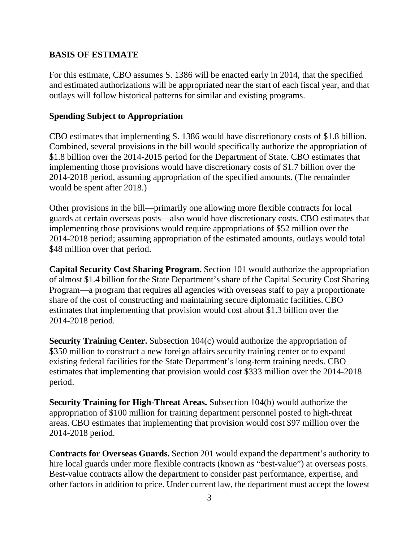#### **BASIS OF ESTIMATE**

For this estimate, CBO assumes S. 1386 will be enacted early in 2014, that the specified and estimated authorizations will be appropriated near the start of each fiscal year, and that outlays will follow historical patterns for similar and existing programs.

#### **Spending Subject to Appropriation**

CBO estimates that implementing S. 1386 would have discretionary costs of \$1.8 billion. Combined, several provisions in the bill would specifically authorize the appropriation of \$1.8 billion over the 2014-2015 period for the Department of State. CBO estimates that implementing those provisions would have discretionary costs of \$1.7 billion over the 2014-2018 period, assuming appropriation of the specified amounts. (The remainder would be spent after 2018.)

Other provisions in the bill—primarily one allowing more flexible contracts for local guards at certain overseas posts—also would have discretionary costs. CBO estimates that implementing those provisions would require appropriations of \$52 million over the 2014-2018 period; assuming appropriation of the estimated amounts, outlays would total \$48 million over that period.

**Capital Security Cost Sharing Program.** Section 101 would authorize the appropriation of almost \$1.4 billion for the State Department's share of the Capital Security Cost Sharing Program—a program that requires all agencies with overseas staff to pay a proportionate share of the cost of constructing and maintaining secure diplomatic facilities. CBO estimates that implementing that provision would cost about \$1.3 billion over the 2014-2018 period.

**Security Training Center.** Subsection 104(c) would authorize the appropriation of \$350 million to construct a new foreign affairs security training center or to expand existing federal facilities for the State Department's long-term training needs. CBO estimates that implementing that provision would cost \$333 million over the 2014-2018 period.

**Security Training for High-Threat Areas.** Subsection 104(b) would authorize the appropriation of \$100 million for training department personnel posted to high-threat areas. CBO estimates that implementing that provision would cost \$97 million over the 2014-2018 period.

**Contracts for Overseas Guards.** Section 201 would expand the department's authority to hire local guards under more flexible contracts (known as "best-value") at overseas posts. Best-value contracts allow the department to consider past performance, expertise, and other factors in addition to price. Under current law, the department must accept the lowest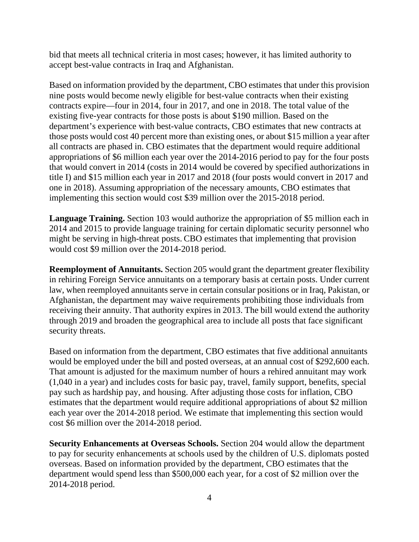bid that meets all technical criteria in most cases; however, it has limited authority to accept best-value contracts in Iraq and Afghanistan.

Based on information provided by the department, CBO estimates that under this provision nine posts would become newly eligible for best-value contracts when their existing contracts expire—four in 2014, four in 2017, and one in 2018. The total value of the existing five-year contracts for those posts is about \$190 million. Based on the department's experience with best-value contracts, CBO estimates that new contracts at those posts would cost 40 percent more than existing ones, or about \$15 million a year after all contracts are phased in. CBO estimates that the department would require additional appropriations of \$6 million each year over the 2014-2016 period to pay for the four posts that would convert in 2014 (costs in 2014 would be covered by specified authorizations in title I) and \$15 million each year in 2017 and 2018 (four posts would convert in 2017 and one in 2018). Assuming appropriation of the necessary amounts, CBO estimates that implementing this section would cost \$39 million over the 2015-2018 period.

**Language Training.** Section 103 would authorize the appropriation of \$5 million each in 2014 and 2015 to provide language training for certain diplomatic security personnel who might be serving in high-threat posts. CBO estimates that implementing that provision would cost \$9 million over the 2014-2018 period.

**Reemployment of Annuitants.** Section 205 would grant the department greater flexibility in rehiring Foreign Service annuitants on a temporary basis at certain posts. Under current law, when reemployed annuitants serve in certain consular positions or in Iraq, Pakistan, or Afghanistan, the department may waive requirements prohibiting those individuals from receiving their annuity. That authority expires in 2013. The bill would extend the authority through 2019 and broaden the geographical area to include all posts that face significant security threats.

Based on information from the department, CBO estimates that five additional annuitants would be employed under the bill and posted overseas, at an annual cost of \$292,600 each. That amount is adjusted for the maximum number of hours a rehired annuitant may work (1,040 in a year) and includes costs for basic pay, travel, family support, benefits, special pay such as hardship pay, and housing. After adjusting those costs for inflation, CBO estimates that the department would require additional appropriations of about \$2 million each year over the 2014-2018 period. We estimate that implementing this section would cost \$6 million over the 2014-2018 period.

**Security Enhancements at Overseas Schools.** Section 204 would allow the department to pay for security enhancements at schools used by the children of U.S. diplomats posted overseas. Based on information provided by the department, CBO estimates that the department would spend less than \$500,000 each year, for a cost of \$2 million over the 2014-2018 period.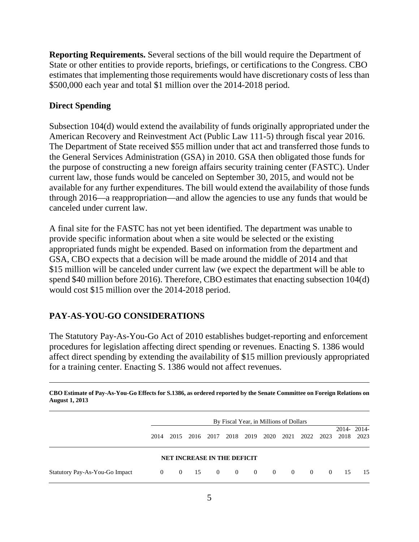**Reporting Requirements.** Several sections of the bill would require the Department of State or other entities to provide reports, briefings, or certifications to the Congress. CBO estimates that implementing those requirements would have discretionary costs of less than \$500,000 each year and total \$1 million over the 2014-2018 period.

#### **Direct Spending**

Subsection 104(d) would extend the availability of funds originally appropriated under the American Recovery and Reinvestment Act (Public Law 111-5) through fiscal year 2016. The Department of State received \$55 million under that act and transferred those funds to the General Services Administration (GSA) in 2010. GSA then obligated those funds for the purpose of constructing a new foreign affairs security training center (FASTC). Under current law, those funds would be canceled on September 30, 2015, and would not be available for any further expenditures. The bill would extend the availability of those funds through 2016—a reappropriation—and allow the agencies to use any funds that would be canceled under current law.

A final site for the FASTC has not yet been identified. The department was unable to provide specific information about when a site would be selected or the existing appropriated funds might be expended. Based on information from the department and GSA, CBO expects that a decision will be made around the middle of 2014 and that \$15 million will be canceled under current law (we expect the department will be able to spend \$40 million before 2016). Therefore, CBO estimates that enacting subsection 104(d) would cost \$15 million over the 2014-2018 period.

## **PAY-AS-YOU-GO CONSIDERATIONS**

The Statutory Pay-As-You-Go Act of 2010 establishes budget-reporting and enforcement procedures for legislation affecting direct spending or revenues. Enacting S. 1386 would affect direct spending by extending the availability of \$15 million previously appropriated for a training center. Enacting S. 1386 would not affect revenues.

| ODO ESMINIVOLT WY TRO TOW OO ENTONS TOL SILOOG WS OFWELOW LODGEGRY THE SCHMED CONNINGED ON LOLOGIC TREMENORS ON<br><b>August 1, 2013</b> |                                        |  |                                    |                |                         |                |                |                |              |                |      |                    |
|------------------------------------------------------------------------------------------------------------------------------------------|----------------------------------------|--|------------------------------------|----------------|-------------------------|----------------|----------------|----------------|--------------|----------------|------|--------------------|
|                                                                                                                                          | By Fiscal Year, in Millions of Dollars |  |                                    |                |                         |                |                |                |              |                |      |                    |
|                                                                                                                                          | 2014                                   |  | 2015 2016 2017                     |                | 2018 2019               |                | 2020           |                | 2021 2022    | 2023           | 2018 | 2014-2014-<br>2023 |
|                                                                                                                                          |                                        |  | <b>NET INCREASE IN THE DEFICIT</b> |                |                         |                |                |                |              |                |      |                    |
| Statutory Pay-As-You-Go Impact                                                                                                           | $\overline{0}$                         |  | $0 \t 15$                          | $\overline{0}$ | $\overline{\mathbf{0}}$ | $\overline{0}$ | $\overline{0}$ | $\overline{0}$ | $\mathbf{0}$ | $\overline{0}$ | 15   | -15                |

**CBO Estimate of Pay-As-You-Go Effects for S.1386, as ordered reported by the Senate Committee on Foreign Relations on**